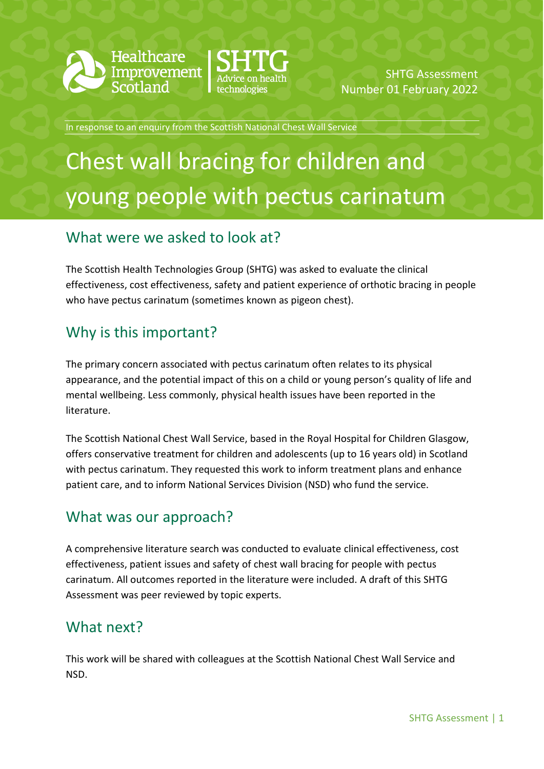



SHTG Assessment Number 01 February 2022

In response to an enquiry from the Scottish National Chest Wall Service

# Chest wall bracing for children and young people with pectus carinatum

### What were we asked to look at?

The Scottish Health Technologies Group (SHTG) was asked to evaluate the clinical effectiveness, cost effectiveness, safety and patient experience of orthotic bracing in people who have pectus carinatum (sometimes known as pigeon chest).

# Why is this important?

The primary concern associated with pectus carinatum often relates to its physical appearance, and the potential impact of this on a child or young person's quality of life and mental wellbeing. Less commonly, physical health issues have been reported in the literature.

The Scottish National Chest Wall Service, based in the Royal Hospital for Children Glasgow, offers conservative treatment for children and adolescents (up to 16 years old) in Scotland with pectus carinatum. They requested this work to inform treatment plans and enhance patient care, and to inform National Services Division (NSD) who fund the service.

### What was our approach?

A comprehensive literature search was conducted to evaluate clinical effectiveness, cost effectiveness, patient issues and safety of chest wall bracing for people with pectus carinatum. All outcomes reported in the literature were included. A draft of this SHTG Assessment was peer reviewed by topic experts.

### What next?

This work will be shared with colleagues at the Scottish National Chest Wall Service and NSD.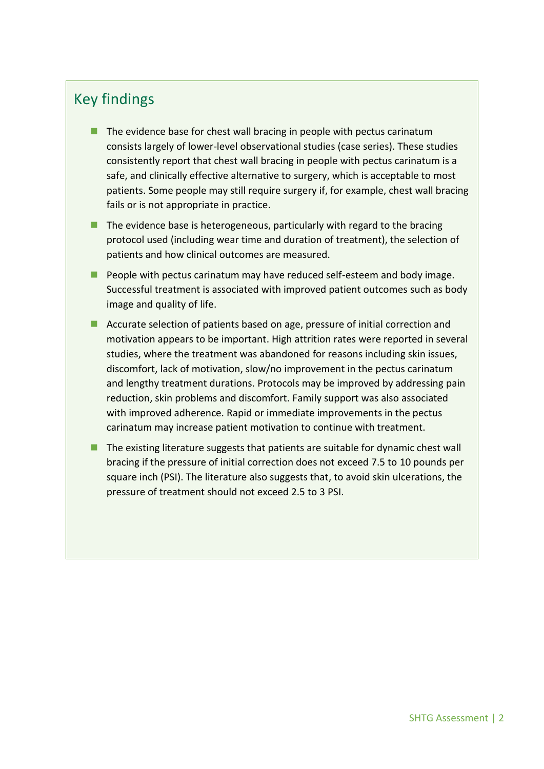### Key findings

- $\blacksquare$  The evidence base for chest wall bracing in people with pectus carinatum consists largely of lower-level observational studies (case series). These studies consistently report that chest wall bracing in people with pectus carinatum is a safe, and clinically effective alternative to surgery, which is acceptable to most patients. Some people may still require surgery if, for example, chest wall bracing fails or is not appropriate in practice.
- $\blacksquare$  The evidence base is heterogeneous, particularly with regard to the bracing protocol used (including wear time and duration of treatment), the selection of patients and how clinical outcomes are measured.
- **People with pectus carinatum may have reduced self-esteem and body image.** Successful treatment is associated with improved patient outcomes such as body image and quality of life.
- Accurate selection of patients based on age, pressure of initial correction and motivation appears to be important. High attrition rates were reported in several studies, where the treatment was abandoned for reasons including skin issues, discomfort, lack of motivation, slow/no improvement in the pectus carinatum and lengthy treatment durations. Protocols may be improved by addressing pain reduction, skin problems and discomfort. Family support was also associated with improved adherence. Rapid or immediate improvements in the pectus carinatum may increase patient motivation to continue with treatment.
- $\blacksquare$  The existing literature suggests that patients are suitable for dynamic chest wall bracing if the pressure of initial correction does not exceed 7.5 to 10 pounds per square inch (PSI). The literature also suggests that, to avoid skin ulcerations, the pressure of treatment should not exceed 2.5 to 3 PSI.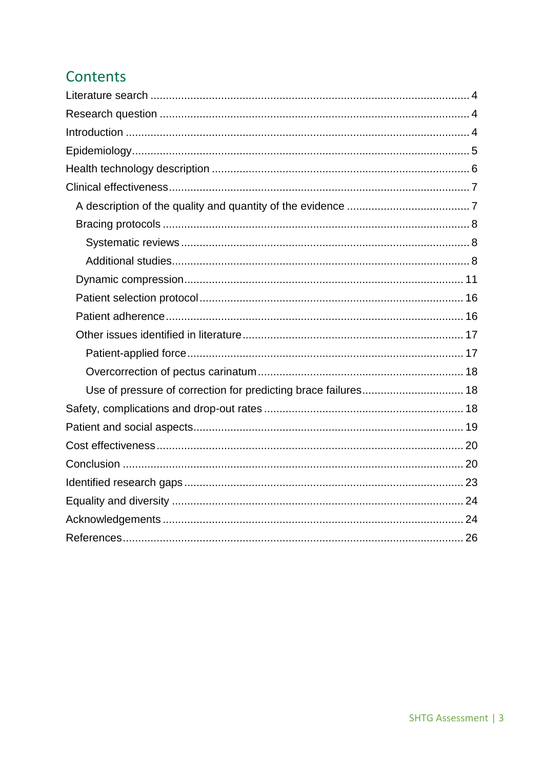# Contents

| Use of pressure of correction for predicting brace failures 18 |  |
|----------------------------------------------------------------|--|
|                                                                |  |
|                                                                |  |
|                                                                |  |
|                                                                |  |
|                                                                |  |
|                                                                |  |
|                                                                |  |
|                                                                |  |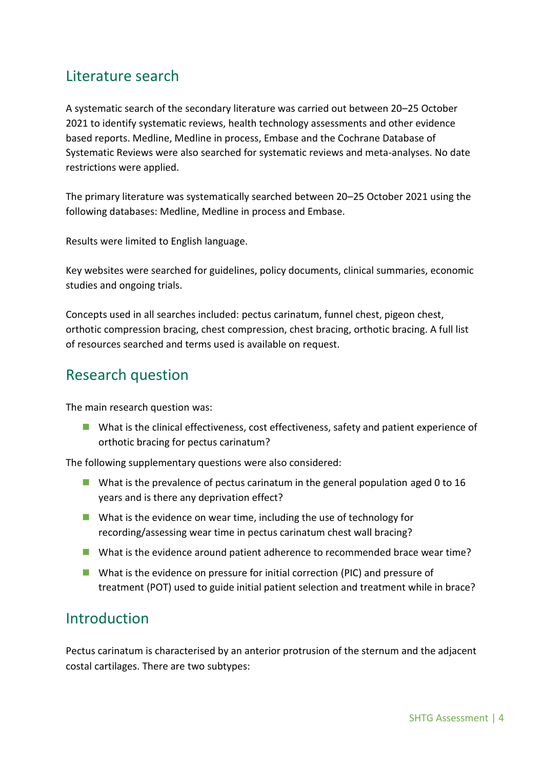# <span id="page-3-0"></span>Literature search

A systematic search of the secondary literature was carried out between 20–25 October 2021 to identify systematic reviews, health technology assessments and other evidence based reports. Medline, Medline in process, Embase and the Cochrane Database of Systematic Reviews were also searched for systematic reviews and meta-analyses. No date restrictions were applied.

The primary literature was systematically searched between 20–25 October 2021 using the following databases: Medline, Medline in process and Embase.

Results were limited to English language.

Key websites were searched for guidelines, policy documents, clinical summaries, economic studies and ongoing trials.

Concepts used in all searches included: pectus carinatum, funnel chest, pigeon chest, orthotic compression bracing, chest compression, chest bracing, orthotic bracing. A full list of resources searched and terms used is available on request.

### <span id="page-3-1"></span>Research question

The main research question was:

**Notable 15 Notable 1** What is the clinical effectiveness, safety and patient experience of orthotic bracing for pectus carinatum?

The following supplementary questions were also considered:

- **U** What is the prevalence of pectus carinatum in the general population aged 0 to 16 years and is there any deprivation effect?
- What is the evidence on wear time, including the use of technology for recording/assessing wear time in pectus carinatum chest wall bracing?
- What is the evidence around patient adherence to recommended brace wear time?
- **Notable 1** What is the evidence on pressure for initial correction (PIC) and pressure of treatment (POT) used to guide initial patient selection and treatment while in brace?

### <span id="page-3-2"></span>Introduction

Pectus carinatum is characterised by an anterior protrusion of the sternum and the adjacent costal cartilages. There are two subtypes: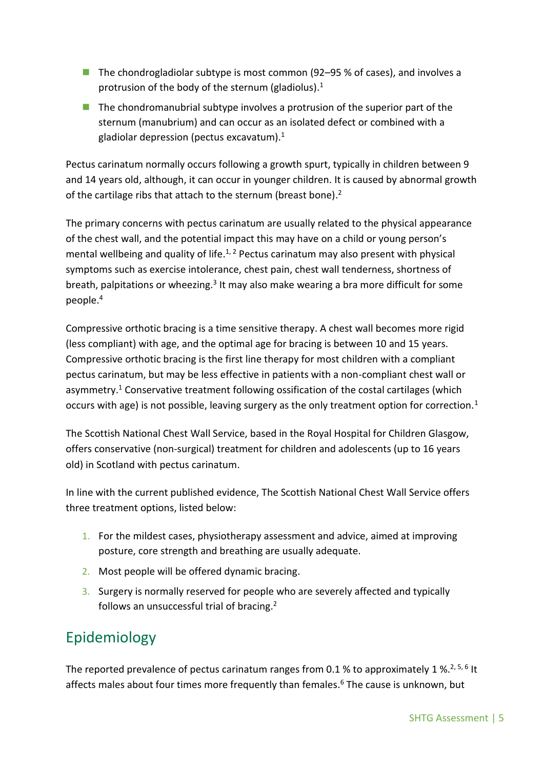- The chondrogladiolar subtype is most common (92–95 % of cases), and involves a protrusion of the body of the sternum (gladiolus).<sup>1</sup>
- $\blacksquare$  The chondromanubrial subtype involves a protrusion of the superior part of the sternum (manubrium) and can occur as an isolated defect or combined with a gladiolar depression (pectus excavatum). $1$

Pectus carinatum normally occurs following a growth spurt, typically in children between 9 and 14 years old, although, it can occur in younger children. It is caused by abnormal growth of the cartilage ribs that attach to the sternum (breast bone). $2$ 

The primary concerns with pectus carinatum are usually related to the physical appearance of the chest wall, and the potential impact this may have on a child or young person's mental wellbeing and quality of life.<sup>1, 2</sup> Pectus carinatum may also present with physical symptoms such as exercise intolerance, chest pain, chest wall tenderness, shortness of breath, palpitations or wheezing.<sup>3</sup> It may also make wearing a bra more difficult for some people.<sup>4</sup>

Compressive orthotic bracing is a time sensitive therapy. A chest wall becomes more rigid (less compliant) with age, and the optimal age for bracing is between 10 and 15 years. Compressive orthotic bracing is the first line therapy for most children with a compliant pectus carinatum, but may be less effective in patients with a non-compliant chest wall or asymmetry. <sup>1</sup> Conservative treatment following ossification of the costal cartilages (which occurs with age) is not possible, leaving surgery as the only treatment option for correction.<sup>1</sup>

The Scottish National Chest Wall Service, based in the Royal Hospital for Children Glasgow, offers conservative (non-surgical) treatment for children and adolescents (up to 16 years old) in Scotland with pectus carinatum.

In line with the current published evidence, The Scottish National Chest Wall Service offers three treatment options, listed below:

- 1. For the mildest cases, physiotherapy assessment and advice, aimed at improving posture, core strength and breathing are usually adequate.
- 2. Most people will be offered dynamic bracing.
- 3. Surgery is normally reserved for people who are severely affected and typically follows an unsuccessful trial of bracing.<sup>2</sup>

# <span id="page-4-0"></span>Epidemiology

The reported prevalence of pectus carinatum ranges from 0.1 % to approximately 1 %.<sup>2, 5, 6</sup> It affects males about four times more frequently than females. <sup>6</sup> The cause is unknown, but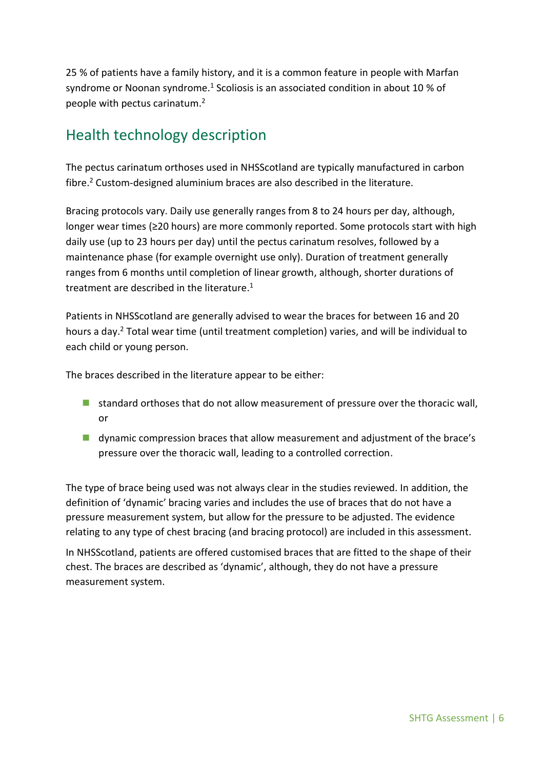25 % of patients have a family history, and it is a common feature in people with Marfan syndrome or Noonan syndrome.<sup>1</sup> Scoliosis is an associated condition in about 10 % of people with pectus carinatum. 2

# <span id="page-5-0"></span>Health technology description

The pectus carinatum orthoses used in NHSScotland are typically manufactured in carbon fibre. <sup>2</sup> Custom-designed aluminium braces are also described in the literature.

Bracing protocols vary. Daily use generally ranges from 8 to 24 hours per day, although, longer wear times (≥20 hours) are more commonly reported. Some protocols start with high daily use (up to 23 hours per day) until the pectus carinatum resolves, followed by a maintenance phase (for example overnight use only). Duration of treatment generally ranges from 6 months until completion of linear growth, although, shorter durations of treatment are described in the literature.<sup>1</sup>

Patients in NHSScotland are generally advised to wear the braces for between 16 and 20 hours a day. <sup>2</sup> Total wear time (until treatment completion) varies, and will be individual to each child or young person.

The braces described in the literature appear to be either:

- **I** standard orthoses that do not allow measurement of pressure over the thoracic wall, or
- **u** dynamic compression braces that allow measurement and adjustment of the brace's pressure over the thoracic wall, leading to a controlled correction.

The type of brace being used was not always clear in the studies reviewed. In addition, the definition of 'dynamic' bracing varies and includes the use of braces that do not have a pressure measurement system, but allow for the pressure to be adjusted. The evidence relating to any type of chest bracing (and bracing protocol) are included in this assessment.

In NHSScotland, patients are offered customised braces that are fitted to the shape of their chest. The braces are described as 'dynamic', although, they do not have a pressure measurement system.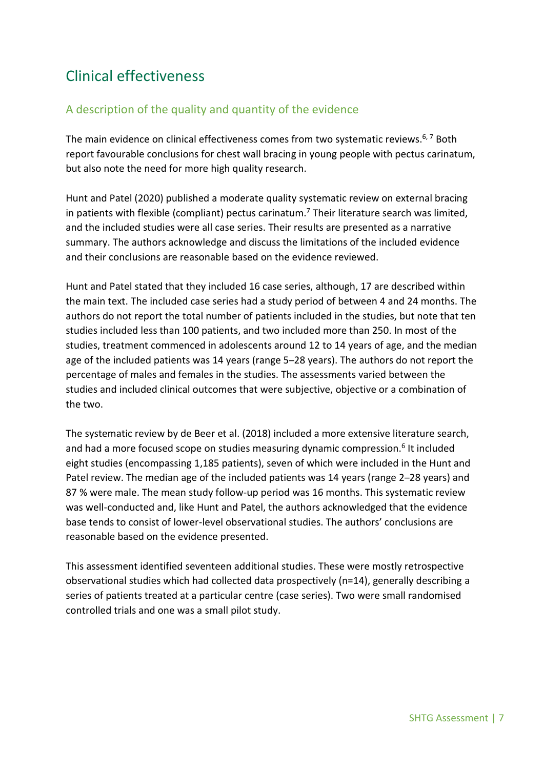# <span id="page-6-0"></span>Clinical effectiveness

### <span id="page-6-1"></span>A description of the quality and quantity of the evidence

The main evidence on clinical effectiveness comes from two systematic reviews.<sup>6, 7</sup> Both report favourable conclusions for chest wall bracing in young people with pectus carinatum, but also note the need for more high quality research.

Hunt and Patel (2020) published a moderate quality systematic review on external bracing in patients with flexible (compliant) pectus carinatum.<sup>7</sup> Their literature search was limited, and the included studies were all case series. Their results are presented as a narrative summary. The authors acknowledge and discuss the limitations of the included evidence and their conclusions are reasonable based on the evidence reviewed.

Hunt and Patel stated that they included 16 case series, although, 17 are described within the main text. The included case series had a study period of between 4 and 24 months. The authors do not report the total number of patients included in the studies, but note that ten studies included less than 100 patients, and two included more than 250. In most of the studies, treatment commenced in adolescents around 12 to 14 years of age, and the median age of the included patients was 14 years (range 5–28 years). The authors do not report the percentage of males and females in the studies. The assessments varied between the studies and included clinical outcomes that were subjective, objective or a combination of the two.

The systematic review by de Beer et al. (2018) included a more extensive literature search, and had a more focused scope on studies measuring dynamic compression.<sup>6</sup> It included eight studies (encompassing 1,185 patients), seven of which were included in the Hunt and Patel review. The median age of the included patients was 14 years (range 2–28 years) and 87 % were male. The mean study follow-up period was 16 months. This systematic review was well-conducted and, like Hunt and Patel, the authors acknowledged that the evidence base tends to consist of lower-level observational studies. The authors' conclusions are reasonable based on the evidence presented.

This assessment identified seventeen additional studies. These were mostly retrospective observational studies which had collected data prospectively (n=14), generally describing a series of patients treated at a particular centre (case series). Two were small randomised controlled trials and one was a small pilot study.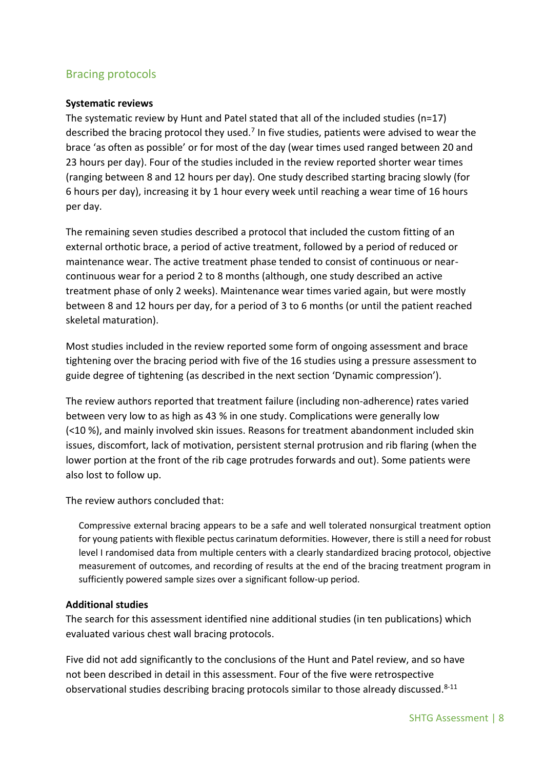### <span id="page-7-0"></span>Bracing protocols

#### <span id="page-7-1"></span>**Systematic reviews**

The systematic review by Hunt and Patel stated that all of the included studies (n=17) described the bracing protocol they used.<sup>7</sup> In five studies, patients were advised to wear the brace 'as often as possible' or for most of the day (wear times used ranged between 20 and 23 hours per day). Four of the studies included in the review reported shorter wear times (ranging between 8 and 12 hours per day). One study described starting bracing slowly (for 6 hours per day), increasing it by 1 hour every week until reaching a wear time of 16 hours per day.

The remaining seven studies described a protocol that included the custom fitting of an external orthotic brace, a period of active treatment, followed by a period of reduced or maintenance wear. The active treatment phase tended to consist of continuous or nearcontinuous wear for a period 2 to 8 months (although, one study described an active treatment phase of only 2 weeks). Maintenance wear times varied again, but were mostly between 8 and 12 hours per day, for a period of 3 to 6 months (or until the patient reached skeletal maturation).

Most studies included in the review reported some form of ongoing assessment and brace tightening over the bracing period with five of the 16 studies using a pressure assessment to guide degree of tightening (as described in the next section 'Dynamic compression').

The review authors reported that treatment failure (including non-adherence) rates varied between very low to as high as 43 % in one study. Complications were generally low (<10 %), and mainly involved skin issues. Reasons for treatment abandonment included skin issues, discomfort, lack of motivation, persistent sternal protrusion and rib flaring (when the lower portion at the front of the rib cage protrudes forwards and out). Some patients were also lost to follow up.

The review authors concluded that:

Compressive external bracing appears to be a safe and well tolerated nonsurgical treatment option for young patients with flexible pectus carinatum deformities. However, there is still a need for robust level I randomised data from multiple centers with a clearly standardized bracing protocol, objective measurement of outcomes, and recording of results at the end of the bracing treatment program in sufficiently powered sample sizes over a significant follow-up period.

#### <span id="page-7-2"></span>**Additional studies**

The search for this assessment identified nine additional studies (in ten publications) which evaluated various chest wall bracing protocols.

Five did not add significantly to the conclusions of the Hunt and Patel review, and so have not been described in detail in this assessment. Four of the five were retrospective observational studies describing bracing protocols similar to those already discussed.<sup>8-11</sup>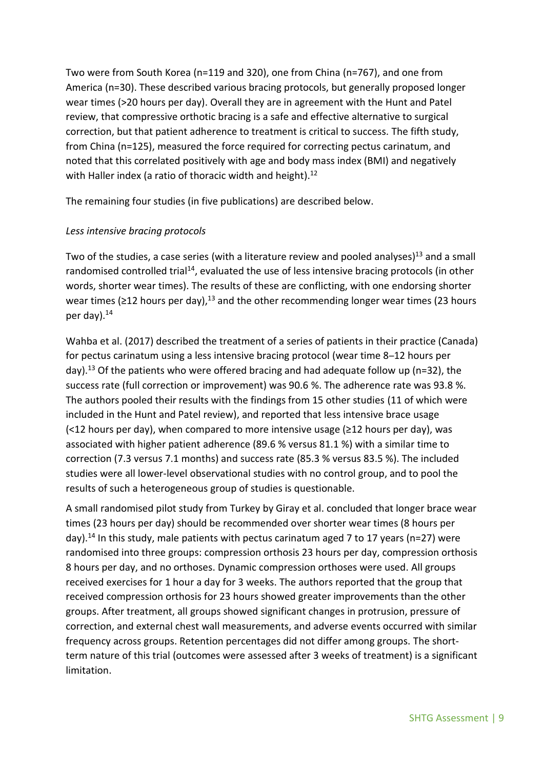Two were from South Korea (n=119 and 320), one from China (n=767), and one from America (n=30). These described various bracing protocols, but generally proposed longer wear times (>20 hours per day). Overall they are in agreement with the Hunt and Patel review, that compressive orthotic bracing is a safe and effective alternative to surgical correction, but that patient adherence to treatment is critical to success. The fifth study, from China (n=125), measured the force required for correcting pectus carinatum, and noted that this correlated positively with age and body mass index (BMI) and negatively with Haller index (a ratio of thoracic width and height).<sup>12</sup>

The remaining four studies (in five publications) are described below.

#### *Less intensive bracing protocols*

Two of the studies, a case series (with a literature review and pooled analyses)<sup>13</sup> and a small randomised controlled trial<sup>14</sup>, evaluated the use of less intensive bracing protocols (in other words, shorter wear times). The results of these are conflicting, with one endorsing shorter wear times ( $\geq$ 12 hours per day),<sup>13</sup> and the other recommending longer wear times (23 hours per day). 14

Wahba et al. (2017) described the treatment of a series of patients in their practice (Canada) for pectus carinatum using a less intensive bracing protocol (wear time 8–12 hours per day).<sup>13</sup> Of the patients who were offered bracing and had adequate follow up (n=32), the success rate (full correction or improvement) was 90.6 %. The adherence rate was 93.8 %. The authors pooled their results with the findings from 15 other studies (11 of which were included in the Hunt and Patel review), and reported that less intensive brace usage (<12 hours per day), when compared to more intensive usage (≥12 hours per day), was associated with higher patient adherence (89.6 % versus 81.1 %) with a similar time to correction (7.3 versus 7.1 months) and success rate (85.3 % versus 83.5 %). The included studies were all lower-level observational studies with no control group, and to pool the results of such a heterogeneous group of studies is questionable.

A small randomised pilot study from Turkey by Giray et al. concluded that longer brace wear times (23 hours per day) should be recommended over shorter wear times (8 hours per day).<sup>14</sup> In this study, male patients with pectus carinatum aged 7 to 17 years (n=27) were randomised into three groups: compression orthosis 23 hours per day, compression orthosis 8 hours per day, and no orthoses. Dynamic compression orthoses were used. All groups received exercises for 1 hour a day for 3 weeks. The authors reported that the group that received compression orthosis for 23 hours showed greater improvements than the other groups. After treatment, all groups showed significant changes in protrusion, pressure of correction, and external chest wall measurements, and adverse events occurred with similar frequency across groups. Retention percentages did not differ among groups. The shortterm nature of this trial (outcomes were assessed after 3 weeks of treatment) is a significant limitation.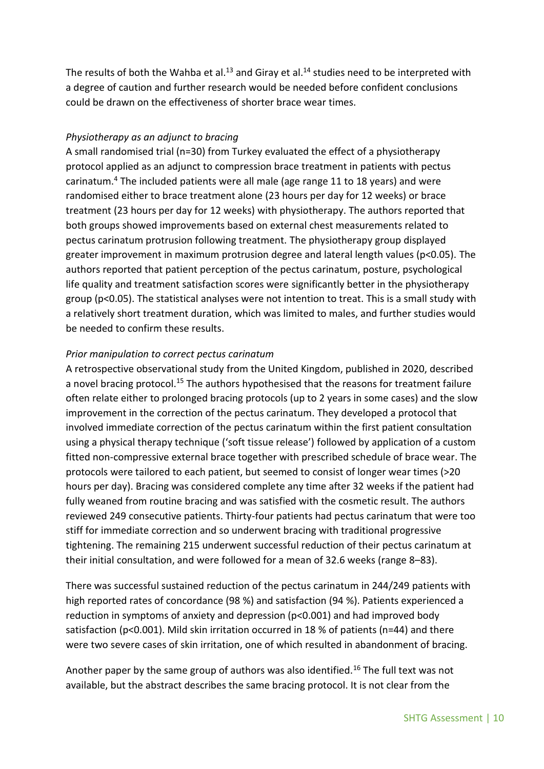The results of both the Wahba et al.<sup>13</sup> and Giray et al.<sup>14</sup> studies need to be interpreted with a degree of caution and further research would be needed before confident conclusions could be drawn on the effectiveness of shorter brace wear times.

#### *Physiotherapy as an adjunct to bracing*

A small randomised trial (n=30) from Turkey evaluated the effect of a physiotherapy protocol applied as an adjunct to compression brace treatment in patients with pectus carinatum.<sup>4</sup> The included patients were all male (age range 11 to 18 years) and were randomised either to brace treatment alone (23 hours per day for 12 weeks) or brace treatment (23 hours per day for 12 weeks) with physiotherapy. The authors reported that both groups showed improvements based on external chest measurements related to pectus carinatum protrusion following treatment. The physiotherapy group displayed greater improvement in maximum protrusion degree and lateral length values (p<0.05). The authors reported that patient perception of the pectus carinatum, posture, psychological life quality and treatment satisfaction scores were significantly better in the physiotherapy group (p<0.05). The statistical analyses were not intention to treat. This is a small study with a relatively short treatment duration, which was limited to males, and further studies would be needed to confirm these results.

#### *Prior manipulation to correct pectus carinatum*

A retrospective observational study from the United Kingdom, published in 2020, described a novel bracing protocol.<sup>15</sup> The authors hypothesised that the reasons for treatment failure often relate either to prolonged bracing protocols (up to 2 years in some cases) and the slow improvement in the correction of the pectus carinatum. They developed a protocol that involved immediate correction of the pectus carinatum within the first patient consultation using a physical therapy technique ('soft tissue release') followed by application of a custom fitted non-compressive external brace together with prescribed schedule of brace wear. The protocols were tailored to each patient, but seemed to consist of longer wear times (>20 hours per day). Bracing was considered complete any time after 32 weeks if the patient had fully weaned from routine bracing and was satisfied with the cosmetic result. The authors reviewed 249 consecutive patients. Thirty-four patients had pectus carinatum that were too stiff for immediate correction and so underwent bracing with traditional progressive tightening. The remaining 215 underwent successful reduction of their pectus carinatum at their initial consultation, and were followed for a mean of 32.6 weeks (range 8–83).

There was successful sustained reduction of the pectus carinatum in 244/249 patients with high reported rates of concordance (98 %) and satisfaction (94 %). Patients experienced a reduction in symptoms of anxiety and depression (p<0.001) and had improved body satisfaction ( $p<0.001$ ). Mild skin irritation occurred in 18 % of patients ( $n=44$ ) and there were two severe cases of skin irritation, one of which resulted in abandonment of bracing.

Another paper by the same group of authors was also identified.<sup>16</sup> The full text was not available, but the abstract describes the same bracing protocol. It is not clear from the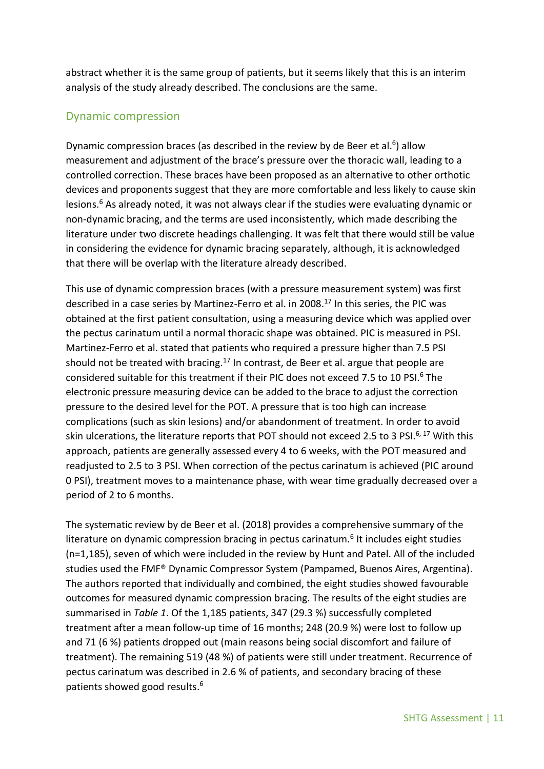abstract whether it is the same group of patients, but it seems likely that this is an interim analysis of the study already described. The conclusions are the same.

#### <span id="page-10-0"></span>Dynamic compression

Dynamic compression braces (as described in the review by de Beer et al.<sup>6</sup>) allow measurement and adjustment of the brace's pressure over the thoracic wall, leading to a controlled correction. These braces have been proposed as an alternative to other orthotic devices and proponents suggest that they are more comfortable and less likely to cause skin lesions. <sup>6</sup> As already noted, it was not always clear if the studies were evaluating dynamic or non-dynamic bracing, and the terms are used inconsistently, which made describing the literature under two discrete headings challenging. It was felt that there would still be value in considering the evidence for dynamic bracing separately, although, it is acknowledged that there will be overlap with the literature already described.

This use of dynamic compression braces (with a pressure measurement system) was first described in a case series by Martinez-Ferro et al. in 2008. <sup>17</sup> In this series, the PIC was obtained at the first patient consultation, using a measuring device which was applied over the pectus carinatum until a normal thoracic shape was obtained. PIC is measured in PSI. Martinez-Ferro et al. stated that patients who required a pressure higher than 7.5 PSI should not be treated with bracing.<sup>17</sup> In contrast, de Beer et al. argue that people are considered suitable for this treatment if their PIC does not exceed 7.5 to 10 PSI. <sup>6</sup> The electronic pressure measuring device can be added to the brace to adjust the correction pressure to the desired level for the POT. A pressure that is too high can increase complications (such as skin lesions) and/or abandonment of treatment. In order to avoid skin ulcerations, the literature reports that POT should not exceed 2.5 to 3 PSI.<sup>6, 17</sup> With this approach, patients are generally assessed every 4 to 6 weeks, with the POT measured and readjusted to 2.5 to 3 PSI. When correction of the pectus carinatum is achieved (PIC around 0 PSI), treatment moves to a maintenance phase, with wear time gradually decreased over a period of 2 to 6 months.

The systematic review by de Beer et al. (2018) provides a comprehensive summary of the literature on dynamic compression bracing in pectus carinatum.<sup>6</sup> It includes eight studies (n=1,185), seven of which were included in the review by Hunt and Patel. All of the included studies used the FMF® Dynamic Compressor System (Pampamed, Buenos Aires, Argentina). The authors reported that individually and combined, the eight studies showed favourable outcomes for measured dynamic compression bracing. The results of the eight studies are summarised in *Table 1*. Of the 1,185 patients, 347 (29.3 %) successfully completed treatment after a mean follow-up time of 16 months; 248 (20.9 %) were lost to follow up and 71 (6 %) patients dropped out (main reasons being social discomfort and failure of treatment). The remaining 519 (48 %) of patients were still under treatment. Recurrence of pectus carinatum was described in 2.6 % of patients, and secondary bracing of these patients showed good results. 6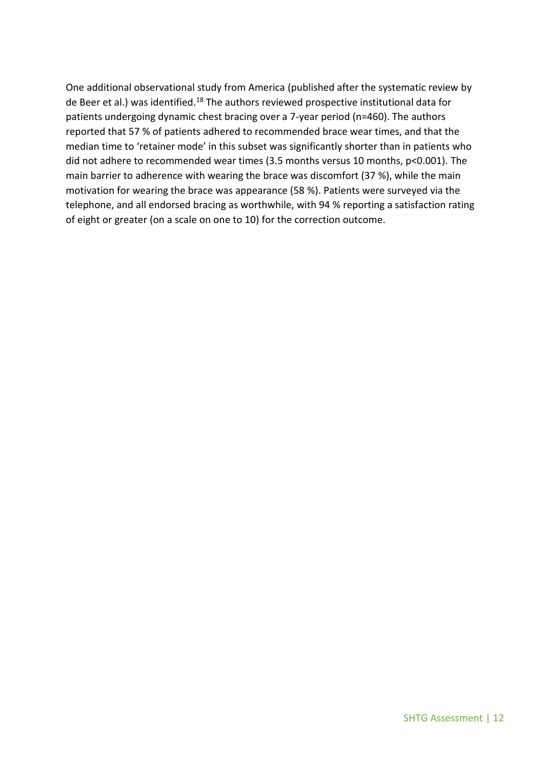One additional observational study from America (published after the systematic review by de Beer et al.) was identified.<sup>18</sup> The authors reviewed prospective institutional data for patients undergoing dynamic chest bracing over a 7-year period (n=460). The authors reported that 57 % of patients adhered to recommended brace wear times, and that the median time to 'retainer mode' in this subset was significantly shorter than in patients who did not adhere to recommended wear times (3.5 months versus 10 months, p<0.001). The main barrier to adherence with wearing the brace was discomfort (37 %), while the main motivation for wearing the brace was appearance (58 %). Patients were surveyed via the telephone, and all endorsed bracing as worthwhile, with 94 % reporting a satisfaction rating of eight or greater (on a scale on one to 10) for the correction outcome.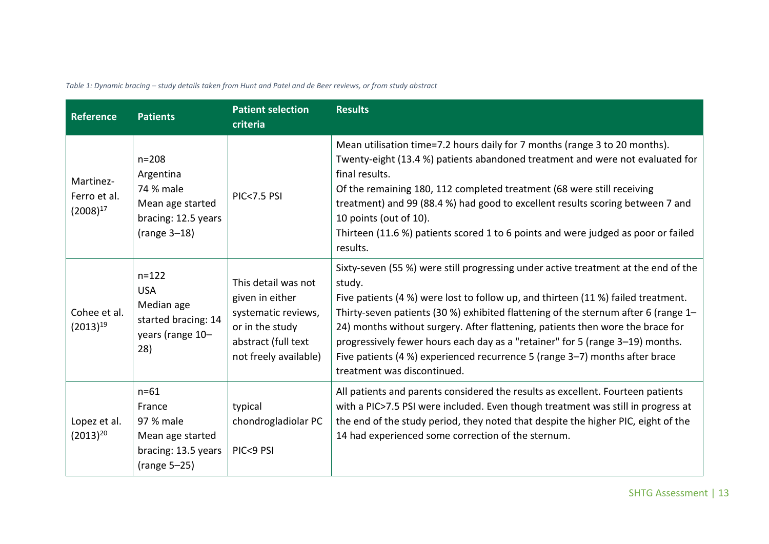|  | Table 1: Dynamic bracing - study details taken from Hunt and Patel and de Beer reviews, or from study abstract |
|--|----------------------------------------------------------------------------------------------------------------|
|--|----------------------------------------------------------------------------------------------------------------|

| <b>Reference</b>                           | <b>Patients</b>                                                                                  | <b>Patient selection</b><br>criteria                                                                                             | <b>Results</b>                                                                                                                                                                                                                                                                                                                                                                                                                                                                                                                                           |
|--------------------------------------------|--------------------------------------------------------------------------------------------------|----------------------------------------------------------------------------------------------------------------------------------|----------------------------------------------------------------------------------------------------------------------------------------------------------------------------------------------------------------------------------------------------------------------------------------------------------------------------------------------------------------------------------------------------------------------------------------------------------------------------------------------------------------------------------------------------------|
| Martinez-<br>Ferro et al.<br>$(2008)^{17}$ | $n = 208$<br>Argentina<br>74 % male<br>Mean age started<br>bracing: 12.5 years<br>$(range 3-18)$ | <b>PIC&lt;7.5 PSI</b>                                                                                                            | Mean utilisation time=7.2 hours daily for 7 months (range 3 to 20 months).<br>Twenty-eight (13.4 %) patients abandoned treatment and were not evaluated for<br>final results.<br>Of the remaining 180, 112 completed treatment (68 were still receiving<br>treatment) and 99 (88.4 %) had good to excellent results scoring between 7 and<br>10 points (out of 10).<br>Thirteen (11.6 %) patients scored 1 to 6 points and were judged as poor or failed<br>results.                                                                                     |
| Cohee et al.<br>$(2013)^{19}$              | $n = 122$<br><b>USA</b><br>Median age<br>started bracing: 14<br>years (range 10-<br>28)          | This detail was not<br>given in either<br>systematic reviews,<br>or in the study<br>abstract (full text<br>not freely available) | Sixty-seven (55 %) were still progressing under active treatment at the end of the<br>study.<br>Five patients (4 %) were lost to follow up, and thirteen (11 %) failed treatment.<br>Thirty-seven patients (30 %) exhibited flattening of the sternum after 6 (range 1-<br>24) months without surgery. After flattening, patients then wore the brace for<br>progressively fewer hours each day as a "retainer" for 5 (range 3-19) months.<br>Five patients (4 %) experienced recurrence 5 (range 3-7) months after brace<br>treatment was discontinued. |
| Lopez et al.<br>$(2013)^{20}$              | $n = 61$<br>France<br>97 % male<br>Mean age started<br>bracing: 13.5 years<br>(range 5-25)       | typical<br>chondrogladiolar PC<br>PIC<9 PSI                                                                                      | All patients and parents considered the results as excellent. Fourteen patients<br>with a PIC>7.5 PSI were included. Even though treatment was still in progress at<br>the end of the study period, they noted that despite the higher PIC, eight of the<br>14 had experienced some correction of the sternum.                                                                                                                                                                                                                                           |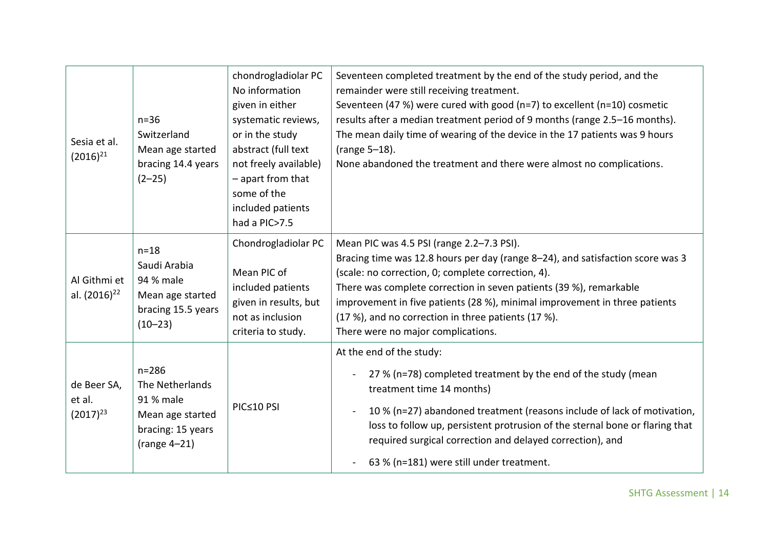| Sesia et al.<br>$(2016)^{21}$            | $n=36$<br>Switzerland<br>Mean age started<br>bracing 14.4 years<br>$(2-25)$                          | chondrogladiolar PC<br>No information<br>given in either<br>systematic reviews,<br>or in the study<br>abstract (full text<br>not freely available)<br>- apart from that<br>some of the<br>included patients<br>had a PIC>7.5 | Seventeen completed treatment by the end of the study period, and the<br>remainder were still receiving treatment.<br>Seventeen (47 %) were cured with good (n=7) to excellent (n=10) cosmetic<br>results after a median treatment period of 9 months (range 2.5-16 months).<br>The mean daily time of wearing of the device in the 17 patients was 9 hours<br>(range 5-18).<br>None abandoned the treatment and there were almost no complications. |
|------------------------------------------|------------------------------------------------------------------------------------------------------|------------------------------------------------------------------------------------------------------------------------------------------------------------------------------------------------------------------------------|------------------------------------------------------------------------------------------------------------------------------------------------------------------------------------------------------------------------------------------------------------------------------------------------------------------------------------------------------------------------------------------------------------------------------------------------------|
| Al Githmi et<br>al. (2016) <sup>22</sup> | $n=18$<br>Saudi Arabia<br>94 % male<br>Mean age started<br>bracing 15.5 years<br>$(10-23)$           | Chondrogladiolar PC<br>Mean PIC of<br>included patients<br>given in results, but<br>not as inclusion<br>criteria to study.                                                                                                   | Mean PIC was 4.5 PSI (range 2.2-7.3 PSI).<br>Bracing time was 12.8 hours per day (range 8-24), and satisfaction score was 3<br>(scale: no correction, 0; complete correction, 4).<br>There was complete correction in seven patients (39 %), remarkable<br>improvement in five patients (28 %), minimal improvement in three patients<br>(17 %), and no correction in three patients (17 %).<br>There were no major complications.                   |
| de Beer SA,<br>et al.<br>$(2017)^{23}$   | $n = 286$<br>The Netherlands<br>91 % male<br>Mean age started<br>bracing: 15 years<br>$(range 4-21)$ | PIC≤10 PSI                                                                                                                                                                                                                   | At the end of the study:<br>27 % (n=78) completed treatment by the end of the study (mean<br>treatment time 14 months)<br>10 % (n=27) abandoned treatment (reasons include of lack of motivation,<br>loss to follow up, persistent protrusion of the sternal bone or flaring that<br>required surgical correction and delayed correction), and<br>63 % (n=181) were still under treatment.                                                           |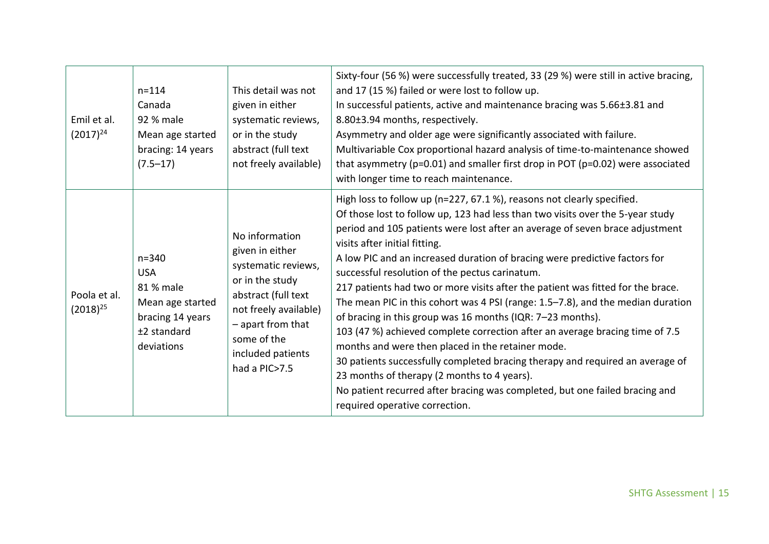| Emil et al.<br>$(2017)^{24}$  | $n = 114$<br>Canada<br>92 % male<br>Mean age started<br>bracing: 14 years<br>$(7.5 - 17)$                 | This detail was not<br>given in either<br>systematic reviews,<br>or in the study<br>abstract (full text<br>not freely available)                                                                      | Sixty-four (56 %) were successfully treated, 33 (29 %) were still in active bracing,<br>and 17 (15 %) failed or were lost to follow up.<br>In successful patients, active and maintenance bracing was 5.66±3.81 and<br>8.80±3.94 months, respectively.<br>Asymmetry and older age were significantly associated with failure.<br>Multivariable Cox proportional hazard analysis of time-to-maintenance showed<br>that asymmetry ( $p=0.01$ ) and smaller first drop in POT ( $p=0.02$ ) were associated<br>with longer time to reach maintenance.                                                                                                                                                                                                                                                                                                                                                                                                                                                                                  |
|-------------------------------|-----------------------------------------------------------------------------------------------------------|-------------------------------------------------------------------------------------------------------------------------------------------------------------------------------------------------------|------------------------------------------------------------------------------------------------------------------------------------------------------------------------------------------------------------------------------------------------------------------------------------------------------------------------------------------------------------------------------------------------------------------------------------------------------------------------------------------------------------------------------------------------------------------------------------------------------------------------------------------------------------------------------------------------------------------------------------------------------------------------------------------------------------------------------------------------------------------------------------------------------------------------------------------------------------------------------------------------------------------------------------|
| Poola et al.<br>$(2018)^{25}$ | $n = 340$<br><b>USA</b><br>81 % male<br>Mean age started<br>bracing 14 years<br>±2 standard<br>deviations | No information<br>given in either<br>systematic reviews,<br>or in the study<br>abstract (full text<br>not freely available)<br>- apart from that<br>some of the<br>included patients<br>had a PIC>7.5 | High loss to follow up (n=227, 67.1%), reasons not clearly specified.<br>Of those lost to follow up, 123 had less than two visits over the 5-year study<br>period and 105 patients were lost after an average of seven brace adjustment<br>visits after initial fitting.<br>A low PIC and an increased duration of bracing were predictive factors for<br>successful resolution of the pectus carinatum.<br>217 patients had two or more visits after the patient was fitted for the brace.<br>The mean PIC in this cohort was 4 PSI (range: 1.5-7.8), and the median duration<br>of bracing in this group was 16 months (IQR: 7-23 months).<br>103 (47 %) achieved complete correction after an average bracing time of 7.5<br>months and were then placed in the retainer mode.<br>30 patients successfully completed bracing therapy and required an average of<br>23 months of therapy (2 months to 4 years).<br>No patient recurred after bracing was completed, but one failed bracing and<br>required operative correction. |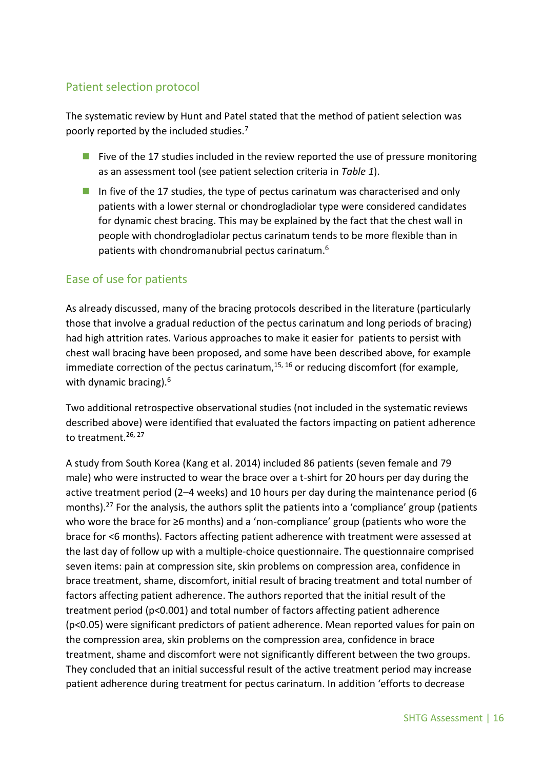### <span id="page-15-0"></span>Patient selection protocol

The systematic review by Hunt and Patel stated that the method of patient selection was poorly reported by the included studies.<sup>7</sup>

- Five of the 17 studies included in the review reported the use of pressure monitoring as an assessment tool (see patient selection criteria in *Table 1*).
- In five of the 17 studies, the type of pectus carinatum was characterised and only patients with a lower sternal or chondrogladiolar type were considered candidates for dynamic chest bracing. This may be explained by the fact that the chest wall in people with chondrogladiolar pectus carinatum tends to be more flexible than in patients with chondromanubrial pectus carinatum.<sup>6</sup>

### <span id="page-15-1"></span>Ease of use for patients

As already discussed, many of the bracing protocols described in the literature (particularly those that involve a gradual reduction of the pectus carinatum and long periods of bracing) had high attrition rates. Various approaches to make it easier for patients to persist with chest wall bracing have been proposed, and some have been described above, for example immediate correction of the pectus carinatum,<sup>15, 16</sup> or reducing discomfort (for example, with dynamic bracing). 6

Two additional retrospective observational studies (not included in the systematic reviews described above) were identified that evaluated the factors impacting on patient adherence to treatment.<sup>26, 27</sup>

A study from South Korea (Kang et al. 2014) included 86 patients (seven female and 79 male) who were instructed to wear the brace over a t-shirt for 20 hours per day during the active treatment period (2–4 weeks) and 10 hours per day during the maintenance period (6 months).<sup>27</sup> For the analysis, the authors split the patients into a 'compliance' group (patients who wore the brace for ≥6 months) and a 'non-compliance' group (patients who wore the brace for <6 months). Factors affecting patient adherence with treatment were assessed at the last day of follow up with a multiple-choice questionnaire. The questionnaire comprised seven items: pain at compression site, skin problems on compression area, confidence in brace treatment, shame, discomfort, initial result of bracing treatment and total number of factors affecting patient adherence. The authors reported that the initial result of the treatment period (p<0.001) and total number of factors affecting patient adherence (p<0.05) were significant predictors of patient adherence. Mean reported values for pain on the compression area, skin problems on the compression area, confidence in brace treatment, shame and discomfort were not significantly different between the two groups. They concluded that an initial successful result of the active treatment period may increase patient adherence during treatment for pectus carinatum. In addition 'efforts to decrease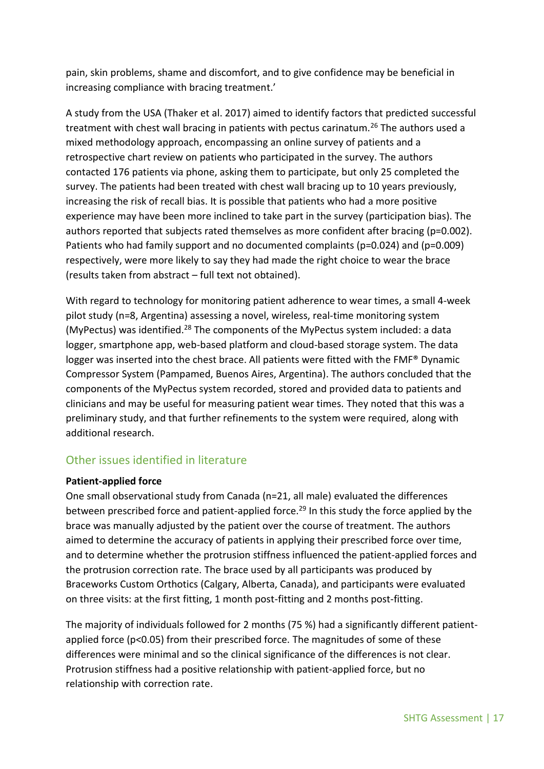pain, skin problems, shame and discomfort, and to give confidence may be beneficial in increasing compliance with bracing treatment.'

A study from the USA (Thaker et al. 2017) aimed to identify factors that predicted successful treatment with chest wall bracing in patients with pectus carinatum.<sup>26</sup> The authors used a mixed methodology approach, encompassing an online survey of patients and a retrospective chart review on patients who participated in the survey. The authors contacted 176 patients via phone, asking them to participate, but only 25 completed the survey. The patients had been treated with chest wall bracing up to 10 years previously, increasing the risk of recall bias. It is possible that patients who had a more positive experience may have been more inclined to take part in the survey (participation bias). The authors reported that subjects rated themselves as more confident after bracing (p=0.002). Patients who had family support and no documented complaints (p=0.024) and (p=0.009) respectively, were more likely to say they had made the right choice to wear the brace (results taken from abstract – full text not obtained).

With regard to technology for monitoring patient adherence to wear times, a small 4-week pilot study (n=8, Argentina) assessing a novel, wireless, real-time monitoring system (MyPectus) was identified.<sup>28</sup> The components of the MyPectus system included: a data logger, smartphone app, web-based platform and cloud-based storage system. The data logger was inserted into the chest brace. All patients were fitted with the FMF® Dynamic Compressor System (Pampamed, Buenos Aires, Argentina). The authors concluded that the components of the MyPectus system recorded, stored and provided data to patients and clinicians and may be useful for measuring patient wear times. They noted that this was a preliminary study, and that further refinements to the system were required, along with additional research.

### <span id="page-16-0"></span>Other issues identified in literature

#### <span id="page-16-1"></span>**Patient-applied force**

One small observational study from Canada (n=21, all male) evaluated the differences between prescribed force and patient-applied force.<sup>29</sup> In this study the force applied by the brace was manually adjusted by the patient over the course of treatment. The authors aimed to determine the accuracy of patients in applying their prescribed force over time, and to determine whether the protrusion stiffness influenced the patient-applied forces and the protrusion correction rate. The brace used by all participants was produced by Braceworks Custom Orthotics (Calgary, Alberta, Canada), and participants were evaluated on three visits: at the first fitting, 1 month post-fitting and 2 months post-fitting.

The majority of individuals followed for 2 months (75 %) had a significantly different patientapplied force (p<0.05) from their prescribed force. The magnitudes of some of these differences were minimal and so the clinical significance of the differences is not clear. Protrusion stiffness had a positive relationship with patient-applied force, but no relationship with correction rate.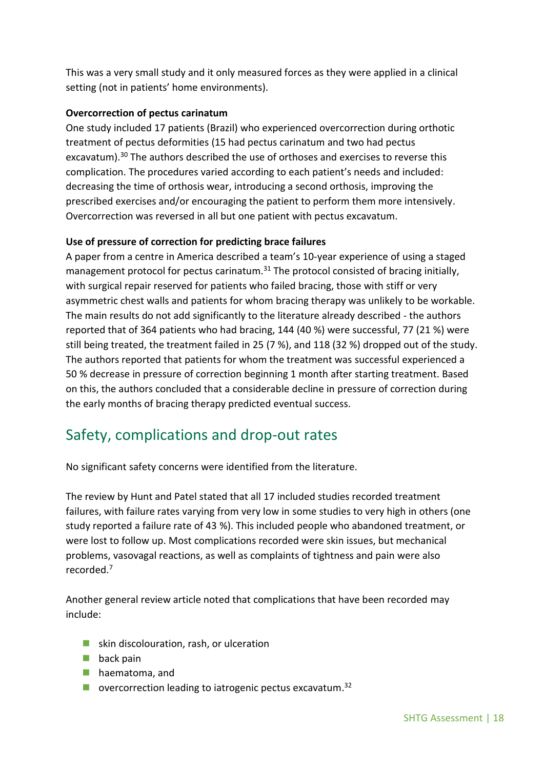This was a very small study and it only measured forces as they were applied in a clinical setting (not in patients' home environments).

#### <span id="page-17-0"></span>**Overcorrection of pectus carinatum**

One study included 17 patients (Brazil) who experienced overcorrection during orthotic treatment of pectus deformities (15 had pectus carinatum and two had pectus excavatum).<sup>30</sup> The authors described the use of orthoses and exercises to reverse this complication. The procedures varied according to each patient's needs and included: decreasing the time of orthosis wear, introducing a second orthosis, improving the prescribed exercises and/or encouraging the patient to perform them more intensively. Overcorrection was reversed in all but one patient with pectus excavatum.

#### <span id="page-17-1"></span>**Use of pressure of correction for predicting brace failures**

A paper from a centre in America described a team's 10-year experience of using a staged management protocol for pectus carinatum.<sup>31</sup> The protocol consisted of bracing initially, with surgical repair reserved for patients who failed bracing, those with stiff or very asymmetric chest walls and patients for whom bracing therapy was unlikely to be workable. The main results do not add significantly to the literature already described - the authors reported that of 364 patients who had bracing, 144 (40 %) were successful, 77 (21 %) were still being treated, the treatment failed in 25 (7 %), and 118 (32 %) dropped out of the study. The authors reported that patients for whom the treatment was successful experienced a 50 % decrease in pressure of correction beginning 1 month after starting treatment. Based on this, the authors concluded that a considerable decline in pressure of correction during the early months of bracing therapy predicted eventual success.

### <span id="page-17-2"></span>Safety, complications and drop-out rates

No significant safety concerns were identified from the literature.

The review by Hunt and Patel stated that all 17 included studies recorded treatment failures, with failure rates varying from very low in some studies to very high in others (one study reported a failure rate of 43 %). This included people who abandoned treatment, or were lost to follow up. Most complications recorded were skin issues, but mechanical problems, vasovagal reactions, as well as complaints of tightness and pain were also recorded. 7

Another general review article noted that complications that have been recorded may include:

- skin discolouration, rash, or ulceration
- $\blacksquare$  back pain
- **haematoma, and**
- **D** overcorrection leading to iatrogenic pectus excavatum.<sup>32</sup>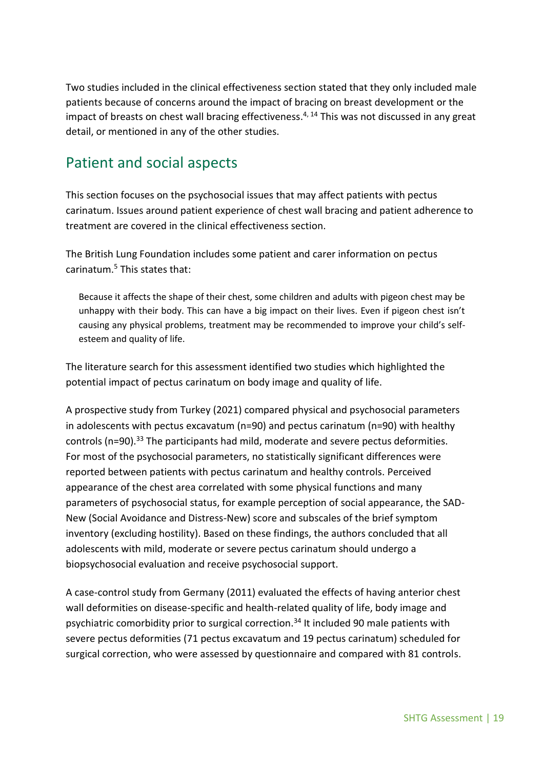Two studies included in the clinical effectiveness section stated that they only included male patients because of concerns around the impact of bracing on breast development or the impact of breasts on chest wall bracing effectiveness.<sup>4, 14</sup> This was not discussed in any great detail, or mentioned in any of the other studies.

### <span id="page-18-0"></span>Patient and social aspects

This section focuses on the psychosocial issues that may affect patients with pectus carinatum. Issues around patient experience of chest wall bracing and patient adherence to treatment are covered in the clinical effectiveness section.

The British Lung Foundation includes some patient and carer information on pectus carinatum. $5$  This states that:

Because it affects the shape of their chest, some children and adults with pigeon chest may be unhappy with their body. This can have a big impact on their lives. Even if pigeon chest isn't causing any physical problems, treatment may be recommended to improve your child's selfesteem and quality of life.

The literature search for this assessment identified two studies which highlighted the potential impact of pectus carinatum on body image and quality of life.

A prospective study from Turkey (2021) compared physical and psychosocial parameters in adolescents with pectus excavatum (n=90) and pectus carinatum (n=90) with healthy controls (n=90).<sup>33</sup> The participants had mild, moderate and severe pectus deformities. For most of the psychosocial parameters, no statistically significant differences were reported between patients with pectus carinatum and healthy controls. Perceived appearance of the chest area correlated with some physical functions and many parameters of psychosocial status, for example perception of social appearance, the SAD-New (Social Avoidance and Distress-New) score and subscales of the brief symptom inventory (excluding hostility). Based on these findings, the authors concluded that all adolescents with mild, moderate or severe pectus carinatum should undergo a biopsychosocial evaluation and receive psychosocial support.

A case-control study from Germany (2011) evaluated the effects of having anterior chest wall deformities on disease-specific and health-related quality of life, body image and psychiatric comorbidity prior to surgical correction.<sup>34</sup> It included 90 male patients with severe pectus deformities (71 pectus excavatum and 19 pectus carinatum) scheduled for surgical correction, who were assessed by questionnaire and compared with 81 controls.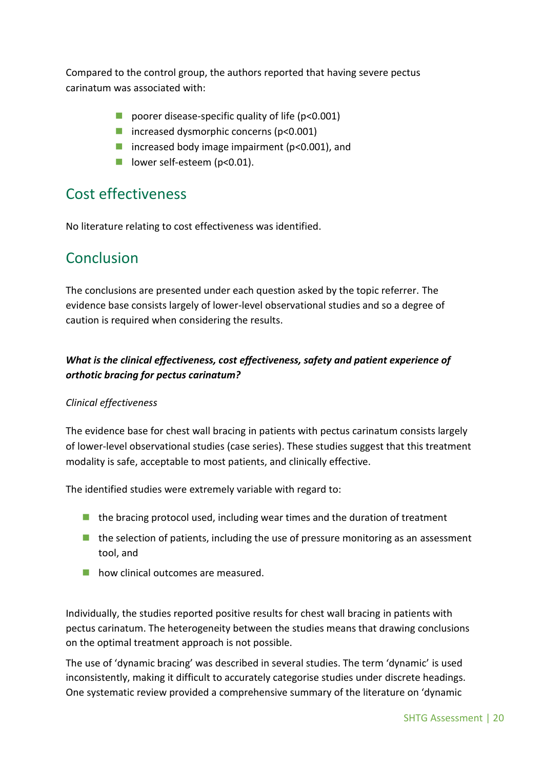Compared to the control group, the authors reported that having severe pectus carinatum was associated with:

- poorer disease-specific quality of life  $(p<0.001)$
- $\blacksquare$  increased dysmorphic concerns (p<0.001)
- increased body image impairment ( $p$ <0.001), and
- lower self-esteem (p<0.01).

### <span id="page-19-0"></span>Cost effectiveness

No literature relating to cost effectiveness was identified.

### <span id="page-19-1"></span>Conclusion

The conclusions are presented under each question asked by the topic referrer. The evidence base consists largely of lower-level observational studies and so a degree of caution is required when considering the results.

### *What is the clinical effectiveness, cost effectiveness, safety and patient experience of orthotic bracing for pectus carinatum?*

#### *Clinical effectiveness*

The evidence base for chest wall bracing in patients with pectus carinatum consists largely of lower-level observational studies (case series). These studies suggest that this treatment modality is safe, acceptable to most patients, and clinically effective.

The identified studies were extremely variable with regard to:

- $\blacksquare$  the bracing protocol used, including wear times and the duration of treatment
- $\blacksquare$  the selection of patients, including the use of pressure monitoring as an assessment tool, and
- **how clinical outcomes are measured.**

Individually, the studies reported positive results for chest wall bracing in patients with pectus carinatum. The heterogeneity between the studies means that drawing conclusions on the optimal treatment approach is not possible.

The use of 'dynamic bracing' was described in several studies. The term 'dynamic' is used inconsistently, making it difficult to accurately categorise studies under discrete headings. One systematic review provided a comprehensive summary of the literature on 'dynamic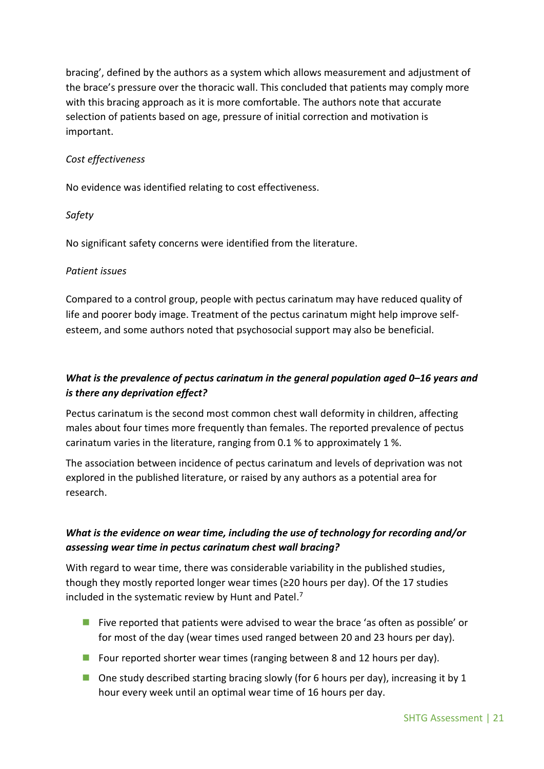bracing', defined by the authors as a system which allows measurement and adjustment of the brace's pressure over the thoracic wall. This concluded that patients may comply more with this bracing approach as it is more comfortable. The authors note that accurate selection of patients based on age, pressure of initial correction and motivation is important.

#### *Cost effectiveness*

No evidence was identified relating to cost effectiveness.

#### *Safety*

No significant safety concerns were identified from the literature.

#### *Patient issues*

Compared to a control group, people with pectus carinatum may have reduced quality of life and poorer body image. Treatment of the pectus carinatum might help improve selfesteem, and some authors noted that psychosocial support may also be beneficial.

### *What is the prevalence of pectus carinatum in the general population aged 0***–***16 years and is there any deprivation effect?*

Pectus carinatum is the second most common chest wall deformity in children, affecting males about four times more frequently than females. The reported prevalence of pectus carinatum varies in the literature, ranging from 0.1 % to approximately 1 %.

The association between incidence of pectus carinatum and levels of deprivation was not explored in the published literature, or raised by any authors as a potential area for research.

### *What is the evidence on wear time, including the use of technology for recording and/or assessing wear time in pectus carinatum chest wall bracing?*

With regard to wear time, there was considerable variability in the published studies, though they mostly reported longer wear times ( $\geq$ 20 hours per day). Of the 17 studies included in the systematic review by Hunt and Patel. 7

- **Five reported that patients were advised to wear the brace 'as often as possible' or** for most of the day (wear times used ranged between 20 and 23 hours per day).
- **Four reported shorter wear times (ranging between 8 and 12 hours per day).**
- $\Box$  One study described starting bracing slowly (for 6 hours per day), increasing it by 1 hour every week until an optimal wear time of 16 hours per day.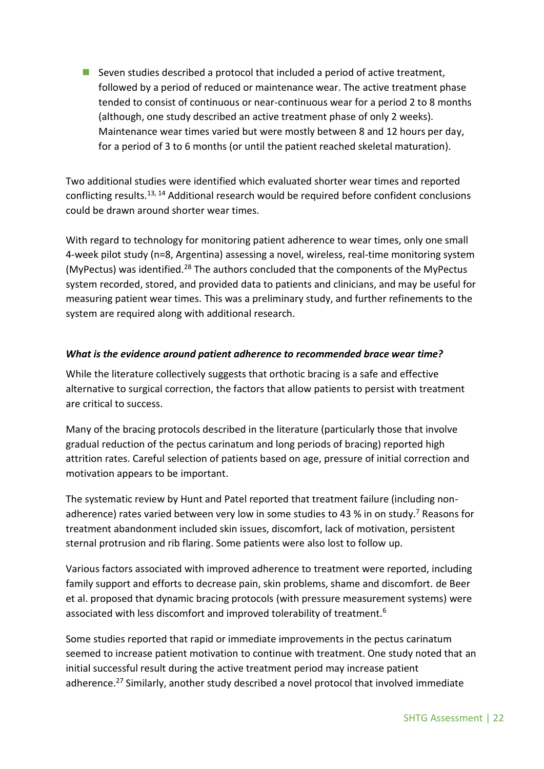**Seven studies described a protocol that included a period of active treatment,** followed by a period of reduced or maintenance wear. The active treatment phase tended to consist of continuous or near-continuous wear for a period 2 to 8 months (although, one study described an active treatment phase of only 2 weeks). Maintenance wear times varied but were mostly between 8 and 12 hours per day, for a period of 3 to 6 months (or until the patient reached skeletal maturation).

Two additional studies were identified which evaluated shorter wear times and reported conflicting results.13, 14 Additional research would be required before confident conclusions could be drawn around shorter wear times.

With regard to technology for monitoring patient adherence to wear times, only one small 4-week pilot study (n=8, Argentina) assessing a novel, wireless, real-time monitoring system (MyPectus) was identified.<sup>28</sup> The authors concluded that the components of the MyPectus system recorded, stored, and provided data to patients and clinicians, and may be useful for measuring patient wear times. This was a preliminary study, and further refinements to the system are required along with additional research.

#### *What is the evidence around patient adherence to recommended brace wear time?*

While the literature collectively suggests that orthotic bracing is a safe and effective alternative to surgical correction, the factors that allow patients to persist with treatment are critical to success.

Many of the bracing protocols described in the literature (particularly those that involve gradual reduction of the pectus carinatum and long periods of bracing) reported high attrition rates. Careful selection of patients based on age, pressure of initial correction and motivation appears to be important.

The systematic review by Hunt and Patel reported that treatment failure (including nonadherence) rates varied between very low in some studies to 43 % in on study.<sup>7</sup> Reasons for treatment abandonment included skin issues, discomfort, lack of motivation, persistent sternal protrusion and rib flaring. Some patients were also lost to follow up.

Various factors associated with improved adherence to treatment were reported, including family support and efforts to decrease pain, skin problems, shame and discomfort. de Beer et al. proposed that dynamic bracing protocols (with pressure measurement systems) were associated with less discomfort and improved tolerability of treatment.<sup>6</sup>

Some studies reported that rapid or immediate improvements in the pectus carinatum seemed to increase patient motivation to continue with treatment. One study noted that an initial successful result during the active treatment period may increase patient adherence.<sup>27</sup> Similarly, another study described a novel protocol that involved immediate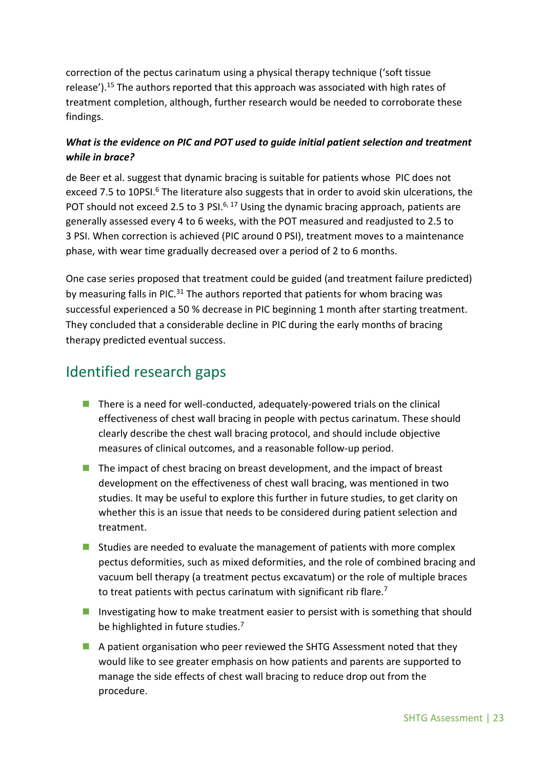correction of the pectus carinatum using a physical therapy technique ('soft tissue release').<sup>15</sup> The authors reported that this approach was associated with high rates of treatment completion, although, further research would be needed to corroborate these findings.

### *What is the evidence on PIC and POT used to guide initial patient selection and treatment while in brace?*

de Beer et al. suggest that dynamic bracing is suitable for patients whose PIC does not exceed 7.5 to 10PSI.<sup>6</sup> The literature also suggests that in order to avoid skin ulcerations, the POT should not exceed 2.5 to 3 PSI.<sup>6, 17</sup> Using the dynamic bracing approach, patients are generally assessed every 4 to 6 weeks, with the POT measured and readjusted to 2.5 to 3 PSI. When correction is achieved (PIC around 0 PSI), treatment moves to a maintenance phase, with wear time gradually decreased over a period of 2 to 6 months.

One case series proposed that treatment could be guided (and treatment failure predicted) by measuring falls in PIC.<sup>31</sup> The authors reported that patients for whom bracing was successful experienced a 50 % decrease in PIC beginning 1 month after starting treatment. They concluded that a considerable decline in PIC during the early months of bracing therapy predicted eventual success.

# <span id="page-22-0"></span>Identified research gaps

- There is a need for well-conducted, adequately-powered trials on the clinical effectiveness of chest wall bracing in people with pectus carinatum. These should clearly describe the chest wall bracing protocol, and should include objective measures of clinical outcomes, and a reasonable follow-up period.
- The impact of chest bracing on breast development, and the impact of breast development on the effectiveness of chest wall bracing, was mentioned in two studies. It may be useful to explore this further in future studies, to get clarity on whether this is an issue that needs to be considered during patient selection and treatment.
- Studies are needed to evaluate the management of patients with more complex pectus deformities, such as mixed deformities, and the role of combined bracing and vacuum bell therapy (a treatment pectus excavatum) or the role of multiple braces to treat patients with pectus carinatum with significant rib flare.<sup>7</sup>
- Investigating how to make treatment easier to persist with is something that should be highlighted in future studies.<sup>7</sup>
- A patient organisation who peer reviewed the SHTG Assessment noted that they would like to see greater emphasis on how patients and parents are supported to manage the side effects of chest wall bracing to reduce drop out from the procedure.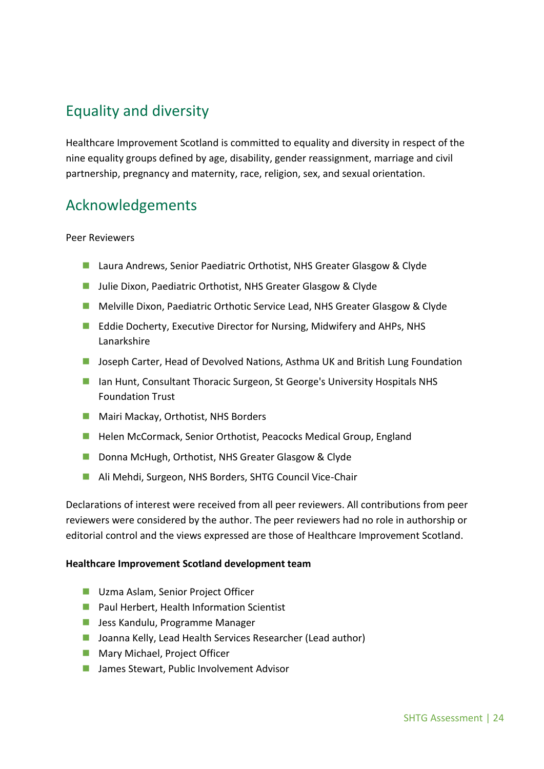# <span id="page-23-0"></span>Equality and diversity

Healthcare Improvement Scotland is committed to equality and diversity in respect of the nine equality groups defined by age, disability, gender reassignment, marriage and civil partnership, pregnancy and maternity, race, religion, sex, and sexual orientation.

# <span id="page-23-1"></span>Acknowledgements

#### Peer Reviewers

- Laura Andrews, Senior Paediatric Orthotist, NHS Greater Glasgow & Clyde
- Julie Dixon, Paediatric Orthotist, NHS Greater Glasgow & Clyde
- **Melville Dixon, Paediatric Orthotic Service Lead, NHS Greater Glasgow & Clyde**
- Eddie Docherty, Executive Director for Nursing, Midwifery and AHPs, NHS Lanarkshire
- **Joseph Carter, Head of Devolved Nations, Asthma UK and British Lung Foundation**
- Ian Hunt, Consultant Thoracic Surgeon, St George's University Hospitals NHS Foundation Trust
- **Mairi Mackay, Orthotist, NHS Borders**
- Helen McCormack, Senior Orthotist, Peacocks Medical Group, England
- Donna McHugh, Orthotist, NHS Greater Glasgow & Clyde
- Ali Mehdi, Surgeon, NHS Borders, SHTG Council Vice-Chair

Declarations of interest were received from all peer reviewers. All contributions from peer reviewers were considered by the author. The peer reviewers had no role in authorship or editorial control and the views expressed are those of Healthcare Improvement Scotland.

#### **Healthcare Improvement Scotland development team**

- **Uzma Aslam, Senior Project Officer**
- **Paul Herbert, Health Information Scientist**
- **Jess Kandulu, Programme Manager**
- Joanna Kelly, Lead Health Services Researcher (Lead author)
- **Mary Michael, Project Officer**
- James Stewart, Public Involvement Advisor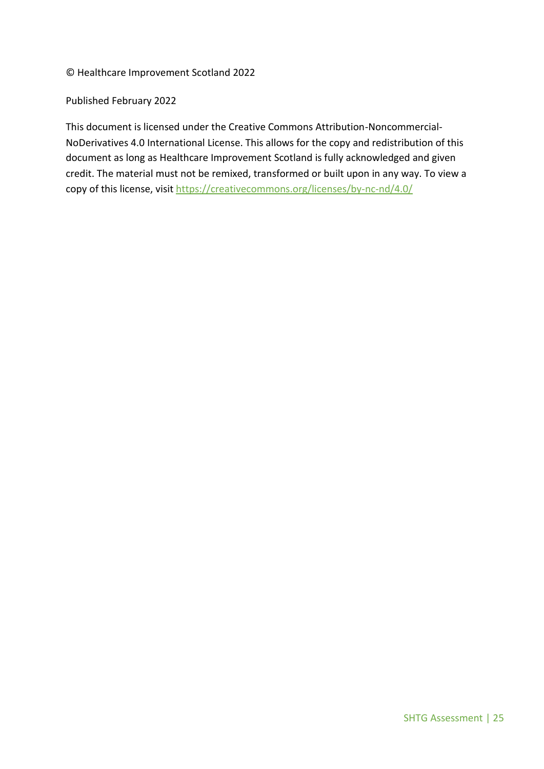© Healthcare Improvement Scotland 2022

Published February 2022

This document is licensed under the Creative Commons Attribution-Noncommercial-NoDerivatives 4.0 International License. This allows for the copy and redistribution of this document as long as Healthcare Improvement Scotland is fully acknowledged and given credit. The material must not be remixed, transformed or built upon in any way. To view a copy of this license, visit<https://creativecommons.org/licenses/by-nc-nd/4.0/>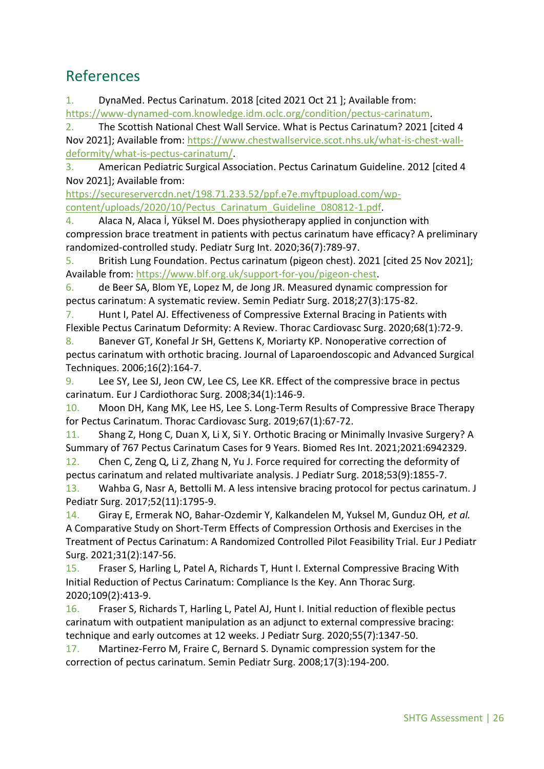### <span id="page-25-0"></span>References

1. DynaMed. Pectus Carinatum. 2018 [cited 2021 Oct 21 ]; Available from: [https://www-dynamed-com.knowledge.idm.oclc.org/condition/pectus-carinatum.](https://www-dynamed-com.knowledge.idm.oclc.org/condition/pectus-carinatum)

2. The Scottish National Chest Wall Service. What is Pectus Carinatum? 2021 [cited 4 Nov 2021]; Available from: [https://www.chestwallservice.scot.nhs.uk/what-is-chest-wall](https://www.chestwallservice.scot.nhs.uk/what-is-chest-wall-deformity/what-is-pectus-carinatum/)[deformity/what-is-pectus-carinatum/.](https://www.chestwallservice.scot.nhs.uk/what-is-chest-wall-deformity/what-is-pectus-carinatum/)

3. American Pediatric Surgical Association. Pectus Carinatum Guideline. 2012 [cited 4 Nov 2021]; Available from:

[https://secureservercdn.net/198.71.233.52/ppf.e7e.myftpupload.com/wp](https://secureservercdn.net/198.71.233.52/ppf.e7e.myftpupload.com/wp-content/uploads/2020/10/Pectus_Carinatum_Guideline_080812-1.pdf)[content/uploads/2020/10/Pectus\\_Carinatum\\_Guideline\\_080812-1.pdf.](https://secureservercdn.net/198.71.233.52/ppf.e7e.myftpupload.com/wp-content/uploads/2020/10/Pectus_Carinatum_Guideline_080812-1.pdf)

4. Alaca N, Alaca İ, Yüksel M. Does physiotherapy applied in conjunction with compression brace treatment in patients with pectus carinatum have efficacy? A preliminary randomized-controlled study. Pediatr Surg Int. 2020;36(7):789-97.

5. British Lung Foundation. Pectus carinatum (pigeon chest). 2021 [cited 25 Nov 2021]; Available from: [https://www.blf.org.uk/support-for-you/pigeon-chest.](https://www.blf.org.uk/support-for-you/pigeon-chest)

6. de Beer SA, Blom YE, Lopez M, de Jong JR. Measured dynamic compression for pectus carinatum: A systematic review. Semin Pediatr Surg. 2018;27(3):175-82.

7. Hunt I, Patel AJ. Effectiveness of Compressive External Bracing in Patients with Flexible Pectus Carinatum Deformity: A Review. Thorac Cardiovasc Surg. 2020;68(1):72-9.

8. Banever GT, Konefal Jr SH, Gettens K, Moriarty KP. Nonoperative correction of pectus carinatum with orthotic bracing. Journal of Laparoendoscopic and Advanced Surgical Techniques. 2006;16(2):164-7.

9. Lee SY, Lee SJ, Jeon CW, Lee CS, Lee KR. Effect of the compressive brace in pectus carinatum. Eur J Cardiothorac Surg. 2008;34(1):146-9.

10. Moon DH, Kang MK, Lee HS, Lee S. Long-Term Results of Compressive Brace Therapy for Pectus Carinatum. Thorac Cardiovasc Surg. 2019;67(1):67-72.

11. Shang Z, Hong C, Duan X, Li X, Si Y. Orthotic Bracing or Minimally Invasive Surgery? A Summary of 767 Pectus Carinatum Cases for 9 Years. Biomed Res Int. 2021;2021:6942329. 12. Chen C, Zeng Q, Li Z, Zhang N, Yu J. Force required for correcting the deformity of

pectus carinatum and related multivariate analysis. J Pediatr Surg. 2018;53(9):1855-7. 13. Wahba G, Nasr A, Bettolli M. A less intensive bracing protocol for pectus carinatum. J

Pediatr Surg. 2017;52(11):1795-9.

14. Giray E, Ermerak NO, Bahar-Ozdemir Y, Kalkandelen M, Yuksel M, Gunduz OH*, et al.* A Comparative Study on Short-Term Effects of Compression Orthosis and Exercises in the Treatment of Pectus Carinatum: A Randomized Controlled Pilot Feasibility Trial. Eur J Pediatr Surg. 2021;31(2):147-56.

15. Fraser S, Harling L, Patel A, Richards T, Hunt I. External Compressive Bracing With Initial Reduction of Pectus Carinatum: Compliance Is the Key. Ann Thorac Surg. 2020;109(2):413-9.

16. Fraser S, Richards T, Harling L, Patel AJ, Hunt I. Initial reduction of flexible pectus carinatum with outpatient manipulation as an adjunct to external compressive bracing: technique and early outcomes at 12 weeks. J Pediatr Surg. 2020;55(7):1347-50.

17. Martinez-Ferro M, Fraire C, Bernard S. Dynamic compression system for the correction of pectus carinatum. Semin Pediatr Surg. 2008;17(3):194-200.